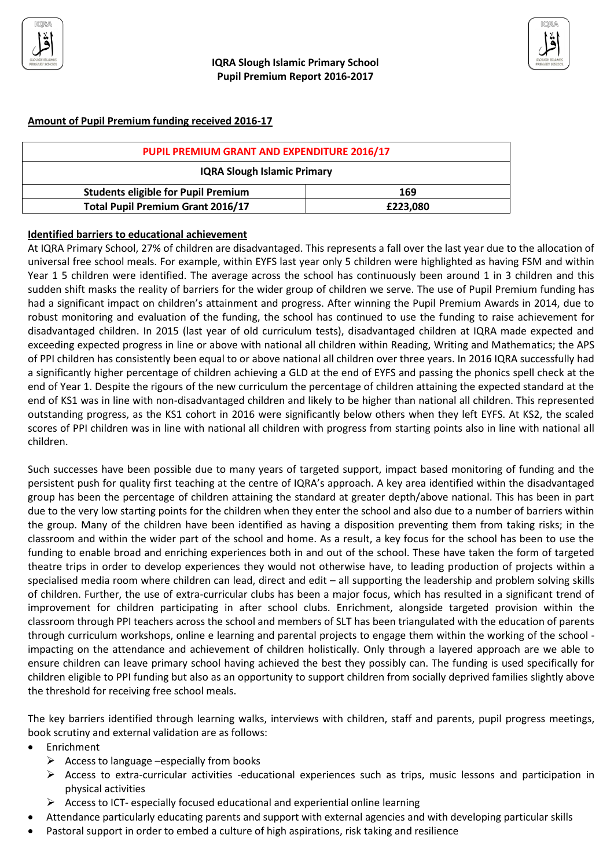



| PUPIL PREMIUM GRANT AND EXPENDITURE 2016/17 |          |  |
|---------------------------------------------|----------|--|
| <b>IQRA Slough Islamic Primary</b>          |          |  |
| <b>Students eligible for Pupil Premium</b>  | 169      |  |
| <b>Total Pupil Premium Grant 2016/17</b>    | £223,080 |  |

## **Identified barriers to educational achievement**

At IQRA Primary School, 27% of children are disadvantaged. This represents a fall over the last year due to the allocation of universal free school meals. For example, within EYFS last year only 5 children were highlighted as having FSM and within Year 1 5 children were identified. The average across the school has continuously been around 1 in 3 children and this sudden shift masks the reality of barriers for the wider group of children we serve. The use of Pupil Premium funding has had a significant impact on children's attainment and progress. After winning the Pupil Premium Awards in 2014, due to robust monitoring and evaluation of the funding, the school has continued to use the funding to raise achievement for disadvantaged children. In 2015 (last year of old curriculum tests), disadvantaged children at IQRA made expected and exceeding expected progress in line or above with national all children within Reading, Writing and Mathematics; the APS of PPI children has consistently been equal to or above national all children over three years. In 2016 IQRA successfully had a significantly higher percentage of children achieving a GLD at the end of EYFS and passing the phonics spell check at the end of Year 1. Despite the rigours of the new curriculum the percentage of children attaining the expected standard at the end of KS1 was in line with non-disadvantaged children and likely to be higher than national all children. This represented outstanding progress, as the KS1 cohort in 2016 were significantly below others when they left EYFS. At KS2, the scaled scores of PPI children was in line with national all children with progress from starting points also in line with national all children.

Such successes have been possible due to many years of targeted support, impact based monitoring of funding and the persistent push for quality first teaching at the centre of IQRA's approach. A key area identified within the disadvantaged group has been the percentage of children attaining the standard at greater depth/above national. This has been in part due to the very low starting points for the children when they enter the school and also due to a number of barriers within the group. Many of the children have been identified as having a disposition preventing them from taking risks; in the classroom and within the wider part of the school and home. As a result, a key focus for the school has been to use the funding to enable broad and enriching experiences both in and out of the school. These have taken the form of targeted theatre trips in order to develop experiences they would not otherwise have, to leading production of projects within a specialised media room where children can lead, direct and edit – all supporting the leadership and problem solving skills of children. Further, the use of extra-curricular clubs has been a major focus, which has resulted in a significant trend of improvement for children participating in after school clubs. Enrichment, alongside targeted provision within the classroom through PPI teachers across the school and members of SLT has been triangulated with the education of parents through curriculum workshops, online e learning and parental projects to engage them within the working of the school impacting on the attendance and achievement of children holistically. Only through a layered approach are we able to ensure children can leave primary school having achieved the best they possibly can. The funding is used specifically for children eligible to PPI funding but also as an opportunity to support children from socially deprived families slightly above the threshold for receiving free school meals.

The key barriers identified through learning walks, interviews with children, staff and parents, pupil progress meetings, book scrutiny and external validation are as follows:

- Enrichment
	- $\triangleright$  Access to language –especially from books
	- $\triangleright$  Access to extra-curricular activities -educational experiences such as trips, music lessons and participation in physical activities
	- $\triangleright$  Access to ICT- especially focused educational and experiential online learning
- Attendance particularly educating parents and support with external agencies and with developing particular skills
- Pastoral support in order to embed a culture of high aspirations, risk taking and resilience

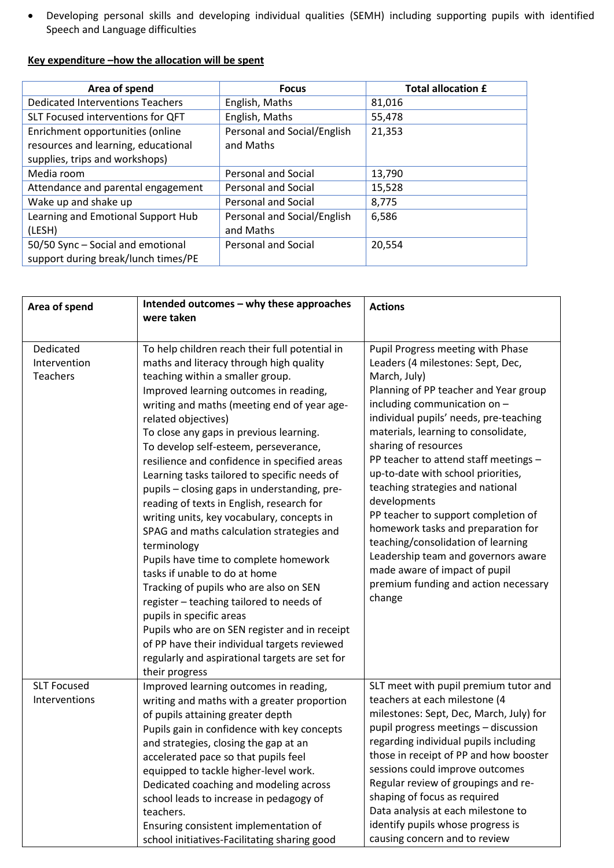Developing personal skills and developing individual qualities (SEMH) including supporting pupils with identified Speech and Language difficulties

## **Key expenditure –how the allocation will be spent**

| Area of spend                                                                                             | <b>Focus</b>                             | <b>Total allocation £</b> |
|-----------------------------------------------------------------------------------------------------------|------------------------------------------|---------------------------|
| <b>Dedicated Interventions Teachers</b>                                                                   | English, Maths                           | 81,016                    |
| SLT Focused interventions for QFT                                                                         | English, Maths                           | 55,478                    |
| Enrichment opportunities (online<br>resources and learning, educational<br>supplies, trips and workshops) | Personal and Social/English<br>and Maths | 21,353                    |
| Media room                                                                                                | <b>Personal and Social</b>               | 13,790                    |
| Attendance and parental engagement                                                                        | <b>Personal and Social</b>               | 15,528                    |
| Wake up and shake up                                                                                      | <b>Personal and Social</b>               | 8,775                     |
| Learning and Emotional Support Hub<br>(LESH)                                                              | Personal and Social/English<br>and Maths | 6,586                     |
| 50/50 Sync - Social and emotional<br>support during break/lunch times/PE                                  | Personal and Social                      | 20,554                    |

| Area of spend                                | Intended outcomes - why these approaches<br>were taken                                                                                                                                                                                                                                                                                                                                                                                                                                                                                                                                                                                                                                                                                                                                                                                                                                                                                                                                                    | <b>Actions</b>                                                                                                                                                                                                                                                                                                                                                                                                                                                                                                                                                                                                                                           |
|----------------------------------------------|-----------------------------------------------------------------------------------------------------------------------------------------------------------------------------------------------------------------------------------------------------------------------------------------------------------------------------------------------------------------------------------------------------------------------------------------------------------------------------------------------------------------------------------------------------------------------------------------------------------------------------------------------------------------------------------------------------------------------------------------------------------------------------------------------------------------------------------------------------------------------------------------------------------------------------------------------------------------------------------------------------------|----------------------------------------------------------------------------------------------------------------------------------------------------------------------------------------------------------------------------------------------------------------------------------------------------------------------------------------------------------------------------------------------------------------------------------------------------------------------------------------------------------------------------------------------------------------------------------------------------------------------------------------------------------|
| Dedicated<br>Intervention<br><b>Teachers</b> | To help children reach their full potential in<br>maths and literacy through high quality<br>teaching within a smaller group.<br>Improved learning outcomes in reading,<br>writing and maths (meeting end of year age-<br>related objectives)<br>To close any gaps in previous learning.<br>To develop self-esteem, perseverance,<br>resilience and confidence in specified areas<br>Learning tasks tailored to specific needs of<br>pupils - closing gaps in understanding, pre-<br>reading of texts in English, research for<br>writing units, key vocabulary, concepts in<br>SPAG and maths calculation strategies and<br>terminology<br>Pupils have time to complete homework<br>tasks if unable to do at home<br>Tracking of pupils who are also on SEN<br>register - teaching tailored to needs of<br>pupils in specific areas<br>Pupils who are on SEN register and in receipt<br>of PP have their individual targets reviewed<br>regularly and aspirational targets are set for<br>their progress | Pupil Progress meeting with Phase<br>Leaders (4 milestones: Sept, Dec,<br>March, July)<br>Planning of PP teacher and Year group<br>including communication on -<br>individual pupils' needs, pre-teaching<br>materials, learning to consolidate,<br>sharing of resources<br>PP teacher to attend staff meetings -<br>up-to-date with school priorities,<br>teaching strategies and national<br>developments<br>PP teacher to support completion of<br>homework tasks and preparation for<br>teaching/consolidation of learning<br>Leadership team and governors aware<br>made aware of impact of pupil<br>premium funding and action necessary<br>change |
| <b>SLT Focused</b><br>Interventions          | Improved learning outcomes in reading,<br>writing and maths with a greater proportion<br>of pupils attaining greater depth<br>Pupils gain in confidence with key concepts<br>and strategies, closing the gap at an<br>accelerated pace so that pupils feel<br>equipped to tackle higher-level work.<br>Dedicated coaching and modeling across<br>school leads to increase in pedagogy of<br>teachers.<br>Ensuring consistent implementation of<br>school initiatives-Facilitating sharing good                                                                                                                                                                                                                                                                                                                                                                                                                                                                                                            | SLT meet with pupil premium tutor and<br>teachers at each milestone (4<br>milestones: Sept, Dec, March, July) for<br>pupil progress meetings - discussion<br>regarding individual pupils including<br>those in receipt of PP and how booster<br>sessions could improve outcomes<br>Regular review of groupings and re-<br>shaping of focus as required<br>Data analysis at each milestone to<br>identify pupils whose progress is<br>causing concern and to review                                                                                                                                                                                       |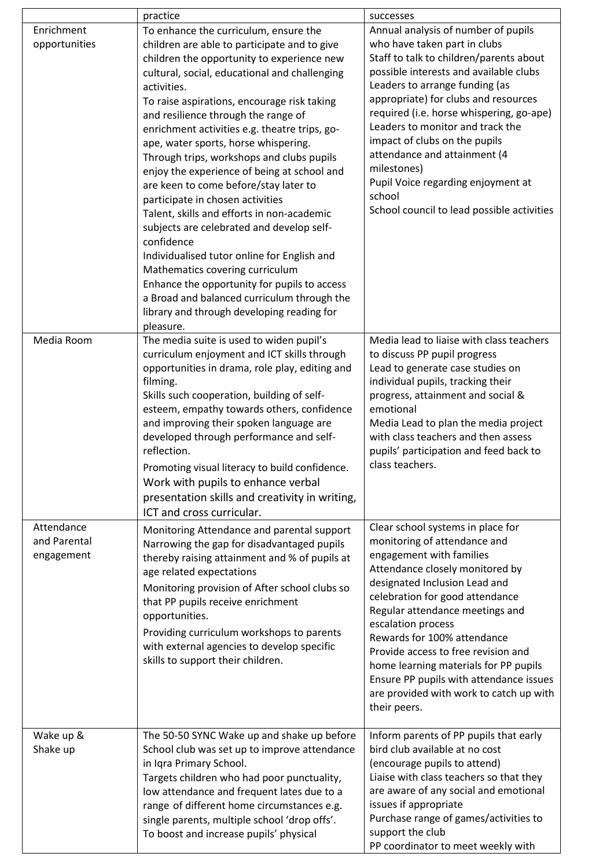|                                          | practice                                                                                                                                                                                                                                                                                                                                                                                                                                                                                                                                                                                                                                                                                                                                                                                                                                                                                                         | successes                                                                                                                                                                                                                                                                                                                                                                                                                                                                                        |
|------------------------------------------|------------------------------------------------------------------------------------------------------------------------------------------------------------------------------------------------------------------------------------------------------------------------------------------------------------------------------------------------------------------------------------------------------------------------------------------------------------------------------------------------------------------------------------------------------------------------------------------------------------------------------------------------------------------------------------------------------------------------------------------------------------------------------------------------------------------------------------------------------------------------------------------------------------------|--------------------------------------------------------------------------------------------------------------------------------------------------------------------------------------------------------------------------------------------------------------------------------------------------------------------------------------------------------------------------------------------------------------------------------------------------------------------------------------------------|
| Enrichment<br>opportunities              | To enhance the curriculum, ensure the<br>children are able to participate and to give<br>children the opportunity to experience new<br>cultural, social, educational and challenging<br>activities.<br>To raise aspirations, encourage risk taking<br>and resilience through the range of<br>enrichment activities e.g. theatre trips, go-<br>ape, water sports, horse whispering.<br>Through trips, workshops and clubs pupils<br>enjoy the experience of being at school and<br>are keen to come before/stay later to<br>participate in chosen activities<br>Talent, skills and efforts in non-academic<br>subjects are celebrated and develop self-<br>confidence<br>Individualised tutor online for English and<br>Mathematics covering curriculum<br>Enhance the opportunity for pupils to access<br>a Broad and balanced curriculum through the<br>library and through developing reading for<br>pleasure. | Annual analysis of number of pupils<br>who have taken part in clubs<br>Staff to talk to children/parents about<br>possible interests and available clubs<br>Leaders to arrange funding (as<br>appropriate) for clubs and resources<br>required (i.e. horse whispering, go-ape)<br>Leaders to monitor and track the<br>impact of clubs on the pupils<br>attendance and attainment (4<br>milestones)<br>Pupil Voice regarding enjoyment at<br>school<br>School council to lead possible activities |
| Media Room                               | The media suite is used to widen pupil's<br>curriculum enjoyment and ICT skills through<br>opportunities in drama, role play, editing and<br>filming.<br>Skills such cooperation, building of self-<br>esteem, empathy towards others, confidence<br>and improving their spoken language are<br>developed through performance and self-<br>reflection.<br>Promoting visual literacy to build confidence.<br>Work with pupils to enhance verbal<br>presentation skills and creativity in writing,<br>ICT and cross curricular.                                                                                                                                                                                                                                                                                                                                                                                    | Media lead to liaise with class teachers<br>to discuss PP pupil progress<br>Lead to generate case studies on<br>individual pupils, tracking their<br>progress, attainment and social &<br>emotional<br>Media Lead to plan the media project<br>with class teachers and then assess<br>pupils' participation and feed back to<br>class teachers.                                                                                                                                                  |
| Attendance<br>and Parental<br>engagement | Monitoring Attendance and parental support<br>Narrowing the gap for disadvantaged pupils<br>thereby raising attainment and % of pupils at<br>age related expectations<br>Monitoring provision of After school clubs so<br>that PP pupils receive enrichment<br>opportunities.<br>Providing curriculum workshops to parents<br>with external agencies to develop specific<br>skills to support their children.                                                                                                                                                                                                                                                                                                                                                                                                                                                                                                    | Clear school systems in place for<br>monitoring of attendance and<br>engagement with families<br>Attendance closely monitored by<br>designated Inclusion Lead and<br>celebration for good attendance<br>Regular attendance meetings and<br>escalation process<br>Rewards for 100% attendance<br>Provide access to free revision and<br>home learning materials for PP pupils<br>Ensure PP pupils with attendance issues<br>are provided with work to catch up with<br>their peers.               |
| Wake up &<br>Shake up                    | The 50-50 SYNC Wake up and shake up before<br>School club was set up to improve attendance<br>in Iqra Primary School.<br>Targets children who had poor punctuality,<br>low attendance and frequent lates due to a<br>range of different home circumstances e.g.<br>single parents, multiple school 'drop offs'.<br>To boost and increase pupils' physical                                                                                                                                                                                                                                                                                                                                                                                                                                                                                                                                                        | Inform parents of PP pupils that early<br>bird club available at no cost<br>(encourage pupils to attend)<br>Liaise with class teachers so that they<br>are aware of any social and emotional<br>issues if appropriate<br>Purchase range of games/activities to<br>support the club<br>PP coordinator to meet weekly with                                                                                                                                                                         |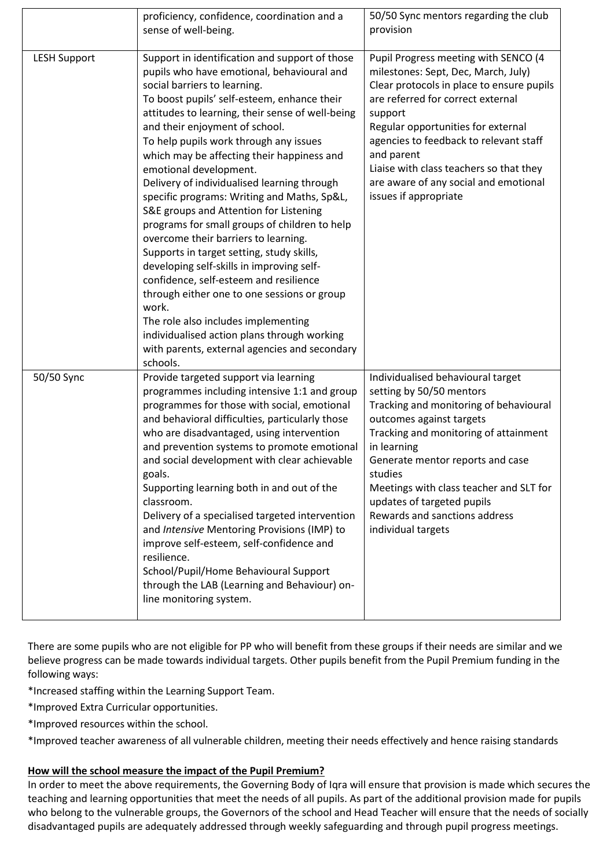|                     | proficiency, confidence, coordination and a<br>sense of well-being.                                                                                                                                                                                                                                                                                                                                                                                                                                                                                                                                                                                                                                                                                                                                                                                                                                                                                                 | 50/50 Sync mentors regarding the club<br>provision                                                                                                                                                                                                                                                                                                                                  |
|---------------------|---------------------------------------------------------------------------------------------------------------------------------------------------------------------------------------------------------------------------------------------------------------------------------------------------------------------------------------------------------------------------------------------------------------------------------------------------------------------------------------------------------------------------------------------------------------------------------------------------------------------------------------------------------------------------------------------------------------------------------------------------------------------------------------------------------------------------------------------------------------------------------------------------------------------------------------------------------------------|-------------------------------------------------------------------------------------------------------------------------------------------------------------------------------------------------------------------------------------------------------------------------------------------------------------------------------------------------------------------------------------|
| <b>LESH Support</b> | Support in identification and support of those<br>pupils who have emotional, behavioural and<br>social barriers to learning.<br>To boost pupils' self-esteem, enhance their<br>attitudes to learning, their sense of well-being<br>and their enjoyment of school.<br>To help pupils work through any issues<br>which may be affecting their happiness and<br>emotional development.<br>Delivery of individualised learning through<br>specific programs: Writing and Maths, Sp&L,<br>S&E groups and Attention for Listening<br>programs for small groups of children to help<br>overcome their barriers to learning.<br>Supports in target setting, study skills,<br>developing self-skills in improving self-<br>confidence, self-esteem and resilience<br>through either one to one sessions or group<br>work.<br>The role also includes implementing<br>individualised action plans through working<br>with parents, external agencies and secondary<br>schools. | Pupil Progress meeting with SENCO (4<br>milestones: Sept, Dec, March, July)<br>Clear protocols in place to ensure pupils<br>are referred for correct external<br>support<br>Regular opportunities for external<br>agencies to feedback to relevant staff<br>and parent<br>Liaise with class teachers so that they<br>are aware of any social and emotional<br>issues if appropriate |
| 50/50 Sync          | Provide targeted support via learning<br>programmes including intensive 1:1 and group<br>programmes for those with social, emotional<br>and behavioral difficulties, particularly those<br>who are disadvantaged, using intervention<br>and prevention systems to promote emotional<br>and social development with clear achievable<br>goals.<br>Supporting learning both in and out of the<br>classroom.<br>Delivery of a specialised targeted intervention<br>and Intensive Mentoring Provisions (IMP) to<br>improve self-esteem, self-confidence and<br>resilience.<br>School/Pupil/Home Behavioural Support<br>through the LAB (Learning and Behaviour) on-<br>line monitoring system.                                                                                                                                                                                                                                                                          | Individualised behavioural target<br>setting by 50/50 mentors<br>Tracking and monitoring of behavioural<br>outcomes against targets<br>Tracking and monitoring of attainment<br>in learning<br>Generate mentor reports and case<br>studies<br>Meetings with class teacher and SLT for<br>updates of targeted pupils<br>Rewards and sanctions address<br>individual targets          |

There are some pupils who are not eligible for PP who will benefit from these groups if their needs are similar and we believe progress can be made towards individual targets. Other pupils benefit from the Pupil Premium funding in the following ways:

\*Increased staffing within the Learning Support Team.

\*Improved Extra Curricular opportunities.

\*Improved resources within the school.

\*Improved teacher awareness of all vulnerable children, meeting their needs effectively and hence raising standards

## **How will the school measure the impact of the Pupil Premium?**

In order to meet the above requirements, the Governing Body of Iqra will ensure that provision is made which secures the teaching and learning opportunities that meet the needs of all pupils. As part of the additional provision made for pupils who belong to the vulnerable groups, the Governors of the school and Head Teacher will ensure that the needs of socially disadvantaged pupils are adequately addressed through weekly safeguarding and through pupil progress meetings.